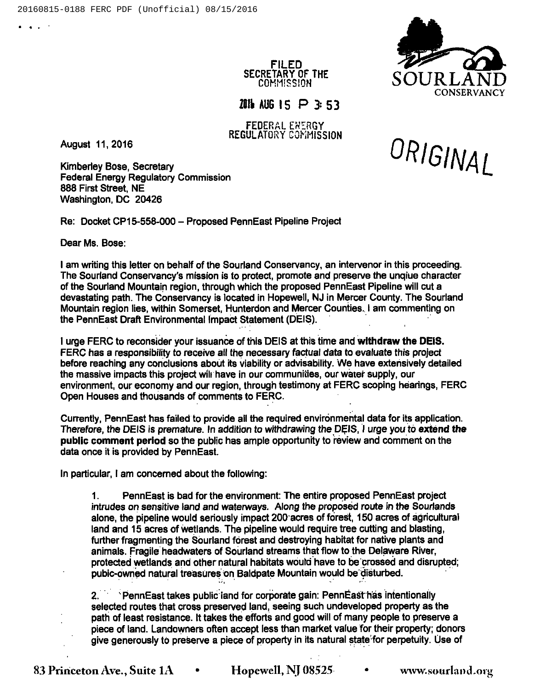

FILED SECRETARY OF THE COMMISSION

7IIt AUG IS P 3: 53

FEDERAL EXERGY REGULATORY COMMISSION

August 11, 2016

والمنابط

Kimberley Bose, Secretary Federal Energy Regulatory Commission 888 First Street, NE Washington, DC 20426

Re: Docket CP15-558-000 —Proposed PennEast Pipeline Project

Dear Ms. Bose:

<sup>I</sup> am writing this letter on behalf of the Sourland Conservancy, an intervenor in this proceeding. The Sourland Conservancy's mission is to protect, promote and preserve the unqiue character of the Sourland Mountain region, through which the proposed PennEast Pipeline will cut a devastating path. The Conservancy is located in Hopewell, NJ in Mercer County. The Sourland Mountain region lies, within Somerset, Hunterdon and Mercer Counties. <sup>I</sup> am commenting on the PennEast Draft Environmental Impact Statement (DEIS).

<sup>I</sup> urge FERC to reconsider your issuance of this DEIS at this time and withdraw the DEIS. FERC has a responsibility to receive all the necessary factual data to evaluate this project before reaching any conclusions about its viability or advisability. We have extensively detailed the massive impacts this project wilt have in our communities, our water supply, our environment, our economy and our region, through testimony at FERC scoping hearings, FERC Open Houses and thousands of comments to FERC.

Currently, PennEast has failed to provide all the required environmental data for its application. Therefore, the DEIS is premature. In addition to withdrawing the DEIS, I urge you to extend the public comment period so the public has ample opportunity to review and comment on the data once it is provided by PennEast.

In particular, <sup>I</sup> am concerned about the following:

1. PennEast is bad for the environment: The entire proposed PennEast project intrudes on sensitive land and waterways. Along the proposed route in the Sourlands alone, the pipeline would seriously impact 200'acres of forest, 150 acres of agricultural land and 15 acres of wetlands. The pipeline would require tree cutting and blasting, further fragmenting the Sourland forest and destroying habitat for native plants and animals. Fragile headwaters of Sourland streams that flow to the Delaware River, protected wetlands and other natural habitats would have to be crossed and disrupted; pubic-owned natural treasures on Baldpate Mountain would be disturbed.

2. PennEast takes public iand for corporate gain: PennEast has intentionally selected routes that cross preserved land, seeing such undeveloped property as the path of least resistance. It takes the efforts and good will of many people to preserve a piece of land. Landowners often accept less than market value for their property; donors give generously to preserve a piece of property in its natural state for perpetuity. Use of

ORIGINAL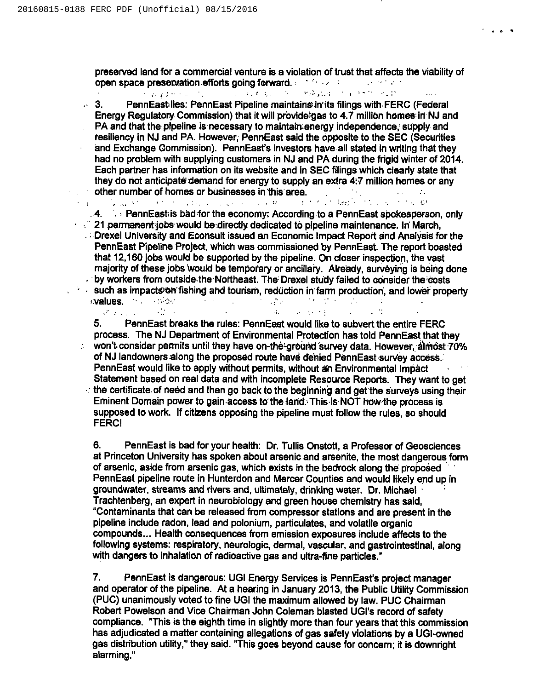preserved land for a commercial venture is a violation of trust that affects the viability of open space presenvation.efforts going forward. The contract of the contract of the contract of the contract of

 $\sim 10^{-10}$ 

against the service of **Programmed The Community of Community** 

3. PennEastilies: PennEast Pipeline maintainein'its filings with FERC (Federal  $\mathbf{r}$ Energy Regulatory Commission) that it will provideigas to 4.7 million homes in NJ and PA and that the pipeline is necessary to maintain;energy independence, supply and resiliency in NJ and PA. However, PennEast said the opposite to the SEC (Securities and Exchange Commission). PennEast's investors have all stated in writing that they had no problem with supplying customers in NJ and PA during the frigid winter ef 2014. Each partner has information on its website and in SEC filings which clearly state that they do not anticipate demand for energy to supply an extra 4:7 million homes or any

**other number of homes or businesses in this area.**<br>The contract of the contract of the contract of the contract of the contract of the contract of the contract of the contract of the contract of the contract of the contra .4..:PennEast;is bad for the economy: According to <sup>a</sup> PennEast spokesperson, only

 $21$  permanent jobs would be directly dedicated to pipeline maintenance. In March,  $\therefore$  Drexel University and Econsult issued an Economic Impact Report and Analysis for the PennEast Pipeline Project, which was commissioned by PennEast. The report boasted that 12,160 jobs would be supported by the pipeline. On closer inspection, the vast majority of these jobs would be temporary or ancillary. Aire'ady, surveying is being done . by workers from outside the Northeast. The Drexel study failed to consider the costs  $s \rightarrow s$  such as impacts on fishing and tourism, reduction in farm production, and lower property :**values.** The expansion of the second proposition of the second proposition of the second proposition of the second proposition of the second proposition of the second proposition of the second proposition of the second p

 $\Delta\omega$  , where  $\omega$  is the  $\Delta\omega$ 

5. PennEast breaks the rules: PennEast would like to subvert the entire FERC process. The NJ Department of Environmental Protection has told PennEast that they  $\sim$  won't consider permits until they have on-the-ground survey data. However, almost 70% of NJ landowners along the proposed route have dehied PennEast survey access. PennEast would like to apply without permits, without an Environmental Impact Statement based on real data and with incomplete Resource Reports. They want to get  $\therefore$  the certificate of need and then go back to the beginning and get the surveys using their Eminent Domain power to gain access to'the iand. This is NOT how the process is supposed to work. If citizens opposing the pipeline must follow the rules, so should FERCI

6. PennEast is bad for your health: Dr. Tullis Onstott, a Professor of Geosciences at Princeton University has spoken about arsenic and arsenite, the most dangerous form of arsenic, aside from arsenic gas, which exists in the bedrock along the proposed PennEast pipeline route in Hunterdon and Mercer Counties and would likely end up in groundwater, streams and rivers and, ultimately, drinking water. Dr. Michael Trachtenberg, an expert in neurobiology and green house chemistry has said, "Contaminants that can be released from compressor stations and are present in the pipeline include radon, lead and polonium, particulates, and volatile organic compounds... Health consequences from emission exposures include affects to the following systems: respiratory, neurologic, dermal, vascular, and gastrointestinal, along with dangers to inhalation of radioactive gas and ultra-fine particles."

7. PennEast is dangerous: UGI Energy Services is PennEast's project manager and operator of the pipeline. At a hearing in January 2013, the Public Utility Commission (PUC) unanimously voted to fine UGI the maximum allowed by law. PUC Chairman Robert Powelson and Vice Chairman John Coleman blasted UGI's record of safety compliance. "This is the eighth time in slightly more than four years that this commission has adjudicated a matter containing allegations of gas safety violations by a UGI-owned gas distribution utility," they said. "This goes beyond cause for concern; it is downright alarming."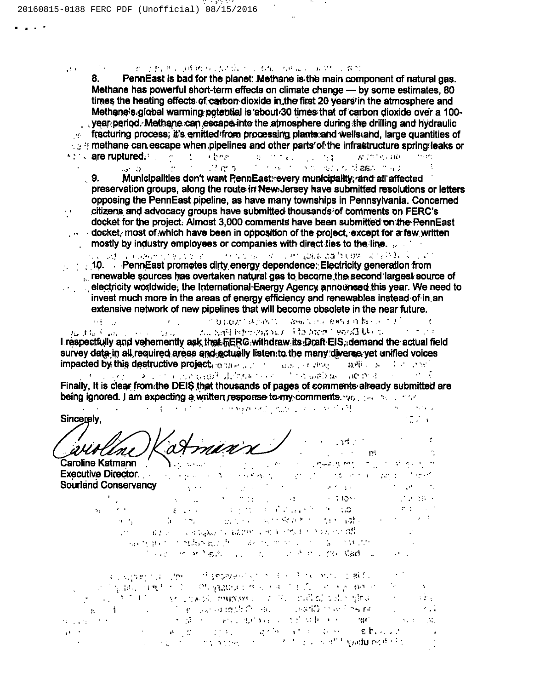$\mathcal{O}(\mathcal{A})$ 

 $\mathbf{r}$  .

 $\ddot{\phantom{0}}$ 

一致 计数据文 网络纳利尼加尔加尔尼加加尔加瓜尼 医血管 计数据

and the company of the company

**CONTRACTOR** 

8. PennEast is bad for the planet: Methane is the main component of natural gas. Methane has powerful short-term effects on climate change — by some estimates, 80 times the heating effects of carbon dioxide in the first 20 years in the atmosphere and Methane's global warming potential is about 30 times that of carbon dioxide over a 100year period. Methane can escape into the atmosphere during the drilling and hydraulic  $\sim$  fracturing process; it's emitted from processing plants and wells and, large quantities of methane can escape when pipelines and other parts' of the infrastructure spring leaks or and care ruptured. The contract the anti-recommending and wide are a start

12 minutes of the state of the second aspected by  $1.3 - 10^{-7}$  $9.$ Municipalities don't want PennEast: every municipality, and all affected

preservation groups, along the route in New-Jersey have submitted resolutions or letters opposing the PennEast pipeline, as have many townships in Pennsylvania. Concerned citizens and advocacy groups have submitted thousands of comments on FERC's docket for the project. Almost 3,000 comments have been submitted on the PennEast docket, most of which have been in opposition of the project, except for a few written mostly by industry employees or companies with direct ties to the line.

o villado village e sine con el colo e considera de la partida e al fortem i any ODV (Villa Villa)  $\blacksquare$  10. PennEast promotes dirty energy dependence: Electricity generation from renewable sources has overtaken natural gas to become the second largest source of electricity worldwide, the International-Energy Agency announced this year. We need to  $\mathcal{O}(\mathcal{O}_\mathcal{O})$  . invest much more in the areas of energy efficiency and renewables instead of in an

 $\mathcal{A}^{\mathcal{A}}$  ,  $\mathcal{A}^{\mathcal{A}}$  $\mathcal{L}^{\text{max}}_{\text{max}}$ **一个自己的人, 中国的人。 医病院中枢 医格里耳 超过程的 不定**  $\sim$  100  $\sigma$ and Deep hand of Cartering Hall and the Residence and the committee of the I respectfully and vehemently ask that field withdraw its Draft EIS, demand the actual field survey data in all required areas and actually listen to the many diverse yet unified voices **Impacted by this destructive project**ion manufacture and consistent and consistent of the series of the series of

extensive network of new pipelines that will become obsolete in the near future.

Finally, It is clear from the DEIS that thousands of pages of comments already submitted are being ignored. I am expecting a written response to my comments. you also we also that

Sincerely.  $-25.1$ 

minn  $-34.0$ Uni  $\mathcal{L}_{\rm{max}}$  and  $\mathcal{L}_{\rm{max}}$ **TAL** 

Caroline Katmann (Caroline Caroline Xatmann Caroline Caroline Caroline Caroline Caroline Caroline Caroline Caroline Caroline Caroline Caroline Caroline Caroline Caroline Caroline Caroline Caroline Caroline Caroline Carolin **Selections** of the state of the first of of the restriction of the following inger i 1990 gennem 1990.<br>1992 - Sterft Berger, amerikansk forsk **Sourland Conservancy** control process of the process.  $\mathcal{F} \in \mathbb{C}^{\infty}$  . Since  $-1.109 - 1.02$  $\mathcal{L}(\mathbf{X})$  and  $\mathcal{L}(\mathbf{X})$  . state of the property of the control of the control of the control of the control of the control of the control of  $\sim 10^{11}$  km s  $^{-1}$  .  $\omega_{\rm{max}}$  and  $\omega_{\rm{max}}$  $\mathcal{E}^{\mathcal{A}}$  ,  $\mathcal{E}^{\mathcal{A}}$  ,  $\mathcal{E}^{\mathcal{A}}$  $\gamma_{\rm{B}}$  . de la monda de la construcción de la del composición  $\alpha = \alpha_{\rm c}$ of the application and a care of the theory of the state of the 网络我国经济的网络家族的教育 网络加拿大公司 医二乙酰胺 经公司 ier<br>Skapisko <mark>er er Nas</mark>artis (p. 1939) et er alle er en <mark>vis er alle staat</mark> (p. 1999).

a company that interest in this equivalent spinor is a similar political and consquadulisane to entry the passeurs of such as that for international continuing  $\sim$  $\mathbf{R}^{\mathrm{eff}}$